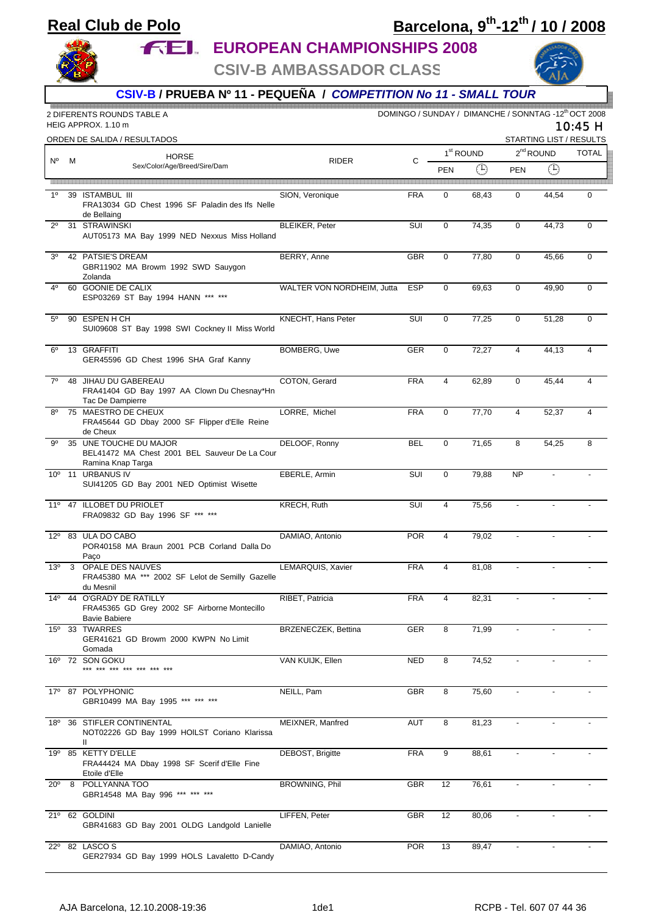## **Real Club de Polo**

## **Barcelona, 9th-12th / 10 / 2008**

**FEL EUROPEAN CHAMPIONSHIPS 2008** 

**CSIV-B AMBASSADOR CLASS**



**CSIV-B / PRUEBA Nº 11 - PEQUEÑA /** *COMPETITION No 11 - SMALL TOUR*

|                 |   | 2 DIFERENTS ROUNDS TABLE A<br>HEIG APPROX. 1.10 m                                                 | DOMINGO / SUNDAY / DIMANCHE / SONNTAG -12th OCT 2008<br>10:45 H |            |                       |       |                                        |                          |                |
|-----------------|---|---------------------------------------------------------------------------------------------------|-----------------------------------------------------------------|------------|-----------------------|-------|----------------------------------------|--------------------------|----------------|
|                 |   | ORDEN DE SALIDA / RESULTADOS<br><b>HORSE</b><br>Sex/Color/Age/Breed/Sire/Dam                      | <b>RIDER</b>                                                    |            | 1 <sup>st</sup> ROUND |       | STARTING LIST / RESULTS<br>$2nd$ ROUND |                          |                |
| N°              | м |                                                                                                   |                                                                 | C          | <b>PEN</b>            | ⊕     | <b>PEN</b>                             | $\bigoplus$              | <b>TOTAL</b>   |
| 1 <sup>0</sup>  |   | 39 ISTAMBUL III<br>FRA13034 GD Chest 1996 SF Paladin des Ifs Nelle                                | SION, Veronique                                                 | <b>FRA</b> | $\mathbf{0}$          | 68,43 | $\mathbf 0$                            | 44.54                    | $\mathbf 0$    |
| $2^{\circ}$     |   | de Bellaing<br>31 STRAWINSKI<br>AUT05173 MA Bay 1999 NED Nexxus Miss Holland                      | <b>BLEIKER, Peter</b>                                           | SUI        | $\mathbf 0$           | 74,35 | $\mathbf 0$                            | 44,73                    | $\mathbf 0$    |
| 3 <sup>o</sup>  |   | 42 PATSIE'S DREAM<br>GBR11902 MA Browm 1992 SWD Sauygon<br>Zolanda                                | BERRY, Anne                                                     | <b>GBR</b> | $\mathbf 0$           | 77,80 | $\mathbf 0$                            | 45,66                    | $\mathbf 0$    |
| 40              |   | 60 GOONIE DE CALIX<br>ESP03269 ST Bay 1994 HANN *** ***                                           | WALTER VON NORDHEIM, Jutta                                      | <b>ESP</b> | $\Omega$              | 69,63 | $\mathbf 0$                            | 49,90                    | $\mathbf 0$    |
| $5^{\circ}$     |   | 90 ESPEN H CH<br>SUI09608 ST Bay 1998 SWI Cockney II Miss World                                   | KNECHT, Hans Peter                                              | SUI        | 0                     | 77,25 | 0                                      | 51,28                    | 0              |
| $6^{\circ}$     |   | 13 GRAFFITI<br>GER45596 GD Chest 1996 SHA Graf Kanny                                              | <b>BOMBERG, Uwe</b>                                             | GER        | $\mathbf{0}$          | 72,27 | $\overline{4}$                         | 44,13                    | $\overline{4}$ |
| $7^\circ$       |   | 48 JIHAU DU GABEREAU<br>FRA41404 GD Bay 1997 AA Clown Du Chesnay*Hn<br>Tac De Dampierre           | COTON, Gerard                                                   | <b>FRA</b> | $\overline{4}$        | 62,89 | $\mathbf 0$                            | 45,44                    | 4              |
| $8^{\circ}$     |   | 75 MAESTRO DE CHEUX<br>FRA45644 GD Dbay 2000 SF Flipper d'Elle Reine<br>de Cheux                  | LORRE, Michel                                                   | <b>FRA</b> | $\mathbf{0}$          | 77,70 | $\overline{4}$                         | 52,37                    | 4              |
| .go             |   | 35 UNE TOUCHE DU MAJOR<br>BEL41472 MA Chest 2001 BEL Sauveur De La Cour<br>Ramina Knap Targa      | DELOOF, Ronny                                                   | <b>BEL</b> | $\mathbf 0$           | 71,65 | 8                                      | 54,25                    | 8              |
|                 |   | 10° 11 URBANUS IV<br>SUI41205 GD Bay 2001 NED Optimist Wisette                                    | EBERLE, Armin                                                   | SUI        | $\mathbf 0$           | 79,88 | <b>NP</b>                              |                          |                |
|                 |   | 11º 47 ILLOBET DU PRIOLET<br>FRA09832 GD Bay 1996 SF *** ***                                      | <b>KRECH, Ruth</b>                                              | <b>SUI</b> | $\overline{4}$        | 75,56 |                                        | $\overline{a}$           |                |
| $12^{\circ}$    |   | 83 ULA DO CABO<br>POR40158 MA Braun 2001 PCB Corland Dalla Do<br>Paco                             | DAMIAO, Antonio                                                 | <b>POR</b> | $\overline{4}$        | 79,02 |                                        |                          |                |
| 13 <sup>°</sup> |   | 3 OPALE DES NAUVES<br>FRA45380 MA *** 2002 SF Lelot de Semilly Gazelle<br>du Mesnil               | LEMARQUIS, Xavier                                               | <b>FRA</b> | $\overline{4}$        | 81,08 |                                        |                          |                |
|                 |   | 14º 44 O'GRADY DE RATILLY<br>FRA45365 GD Grey 2002 SF Airborne Montecillo<br><b>Bavie Babiere</b> | RIBET, Patricia                                                 | <b>FRA</b> | 4                     | 82,31 |                                        |                          |                |
|                 |   | 15º 33 TWARRES<br>GER41621 GD Browm 2000 KWPN No Limit<br>Gomada                                  | BRZENECZEK, Bettina                                             | GER        | 8                     | 71,99 |                                        |                          |                |
|                 |   | 16º 72 SON GOKU<br>*** *** *** *** *** ***                                                        | VAN KUIJK, Ellen                                                | <b>NED</b> | 8                     | 74,52 | $\overline{\phantom{a}}$               |                          |                |
|                 |   | 17º 87 POLYPHONIC<br>GBR10499 MA Bay 1995                                                         | NEILL, Pam                                                      | GBR        | 8                     | 75,60 |                                        |                          |                |
| 18º             |   | 36 STIFLER CONTINENTAL<br>NOT02226 GD Bay 1999 HOILST Coriano Klarissa<br>Ш.                      | MEIXNER, Manfred                                                | <b>AUT</b> | 8                     | 81,23 |                                        |                          |                |
|                 |   | 19º 85 KETTY D'ELLE<br>FRA44424 MA Dbay 1998 SF Scerif d'Elle Fine<br>Etoile d'Elle               | DEBOST, Brigitte                                                | <b>FRA</b> | 9                     | 88,61 |                                        |                          |                |
| $20^{\circ}$    |   | 8 POLLYANNA TOO<br>GBR14548 MA Bay 996 *** *** ***                                                | BROWNING, Phil                                                  | GBR        | 12                    | 76,61 | $\blacksquare$                         | $\overline{\phantom{a}}$ |                |
|                 |   | 21º 62 GOLDINI<br>GBR41683 GD Bay 2001 OLDG Landgold Lanielle                                     | LIFFEN, Peter                                                   | GBR        | 12                    | 80,06 |                                        |                          |                |
|                 |   | 22º 82 LASCOS<br>GER27934 GD Bay 1999 HOLS Lavaletto D-Candy                                      | DAMIAO, Antonio                                                 | <b>POR</b> | 13                    | 89,47 |                                        |                          |                |